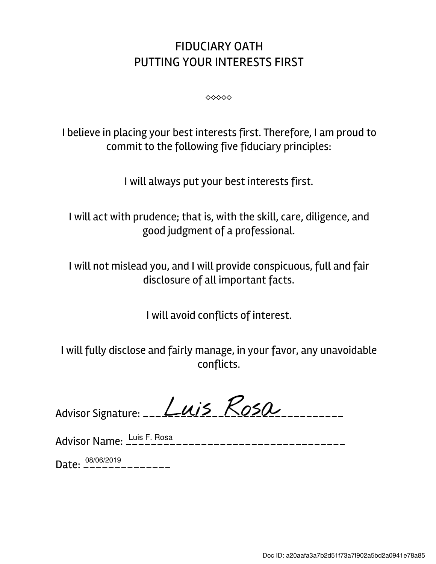## FIDUCIARY OATH PUTTING YOUR INTERESTS FIRST

⬥⬥⬥⬥⬥

I believe in placing your best interests first. Therefore, I am proud to commit to the following five fiduciary principles:

I will always put your best interests first.

I will act with prudence; that is, with the skill, care, diligence, and good judgment of a professional.

I will not mislead you, and I will provide conspicuous, full and fair disclosure of all important facts.

I will avoid conflicts of interest.

I will fully disclose and fairly manage, in your favor, any unavoidable conflicts.

| Advisor Signature: __ <i>L_U(15</i> KOSO |  |  |
|------------------------------------------|--|--|
|                                          |  |  |

| Advisor Name: $\frac{\text{Luis F. Rosa}}{\text{Luis F. A}}$ |
|--------------------------------------------------------------|
|                                                              |

Date: \_\_\_\_\_\_\_\_\_\_\_\_\_\_ 08/06/2019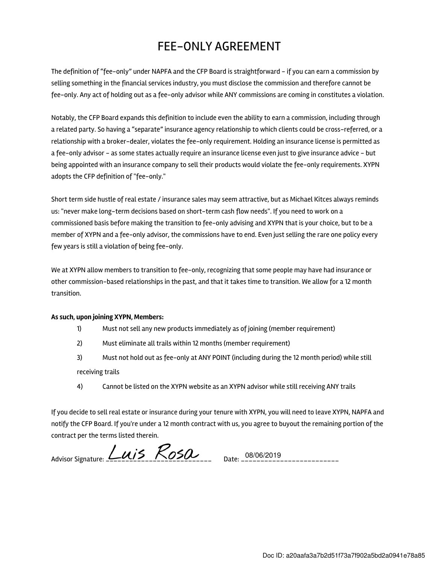## FEE-ONLY AGREEMENT

The definition of "fee-only" under NAPFA and the CFP Board is straightforward - if you can earn a commission by selling something in the financial services industry, you must disclose the commission and therefore cannot be fee-only. Any act of holding out as a fee-only advisor while ANY commissions are coming in constitutes a violation.

Notably, the CFP Board expands this definition to include even the ability to earn a commission, including through a related party. So having a "separate" insurance agency relationship to which clients could be cross-referred, or a relationship with a broker-dealer, violates the fee-only requirement. Holding an insurance license is permitted as a fee-only advisor - as some states actually require an insurance license even just to give insurance advice - but being appointed with an insurance company to sell their products would violate the fee-only requirements. XYPN adopts the CFP definition of "fee-only."

Short term side hustle of real estate / insurance sales may seem attractive, but as Michael Kitces always reminds us: "never make long-term decisions based on short-term cash flow needs". If you need to work on a commissioned basis before making the transition to fee-only advising and XYPN that is your choice, but to be a member of XYPN and a fee-only advisor, the commissions have to end. Even just selling the rare one policy every few years is still a violation of being fee-only.

We at XYPN allow members to transition to fee-only, recognizing that some people may have had insurance or other commission-based relationships in the past, and that it takes time to transition. We allow for a 12 month transition.

## As such, upon joining XYPN, Members:

- 1) Must not sell any new products immediately as of joining (member requirement)
- 2) Must eliminate all trails within 12 months (member requirement)
- 3) Must not hold out as fee-only at ANY POINT (including during the 12 month period) while still receiving trails
- 4) Cannot be listed on the XYPN website as an XYPN advisor while still receiving ANY trails

If you decide to sell real estate or insurance during your tenure with XYPN, you will need to leave XYPN, NAPFA and notify the CFP Board. If you're under a 12 month contract with us, you agree to buyout the remaining portion of the contract per the terms listed therein.

Advisor Signature:  $Luis$   $Ros\alpha$  Date: 08/06/2019